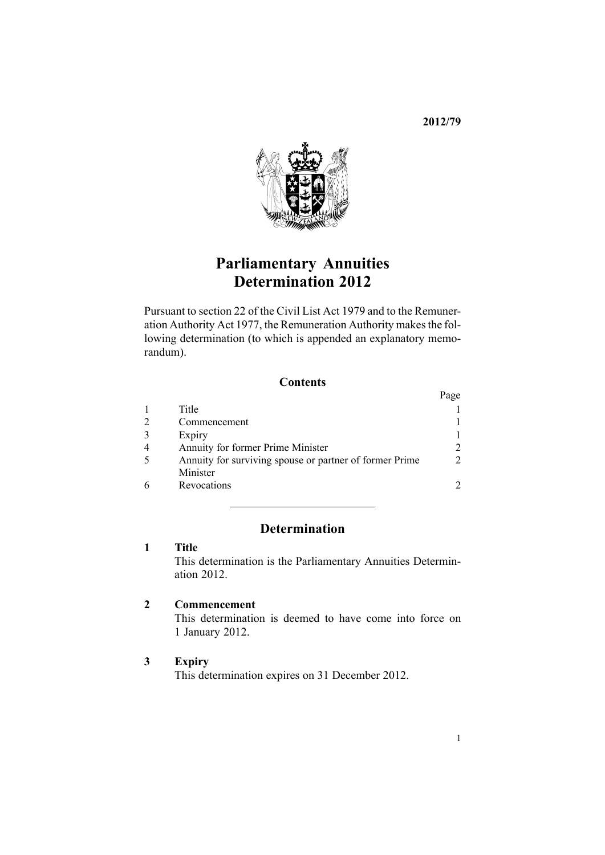**2012/79**



# **Parliamentary Annuities Determination 2012**

Pursuant to [section](http://www.legislation.govt.nz/pdflink.aspx?id=DLM32435) 22 of the Civil List Act 1979 and to the [Remune](http://www.legislation.govt.nz/pdflink.aspx?id=DLM15636)r-ation [Authority](http://www.legislation.govt.nz/pdflink.aspx?id=DLM15636) Act 1977, the Remuneration Authority makes the following determination (to which is appended an explanatory memorandum).

#### **Contents**

|                                                         | Page           |
|---------------------------------------------------------|----------------|
| Title                                                   |                |
| Commencement                                            |                |
| Expiry                                                  |                |
| Annuity for former Prime Minister                       |                |
| Annuity for surviving spouse or partner of former Prime | $\mathfrak{D}$ |
| Minister                                                |                |
| Revocations                                             |                |

### **Determination**

### **1 Title**

This determination is the Parliamentary Annuities Determination 2012.

## **2 Commencement**

This determination is deemed to have come into force on 1 January 2012.

#### **3 Expiry**

This determination expires on 31 December 2012.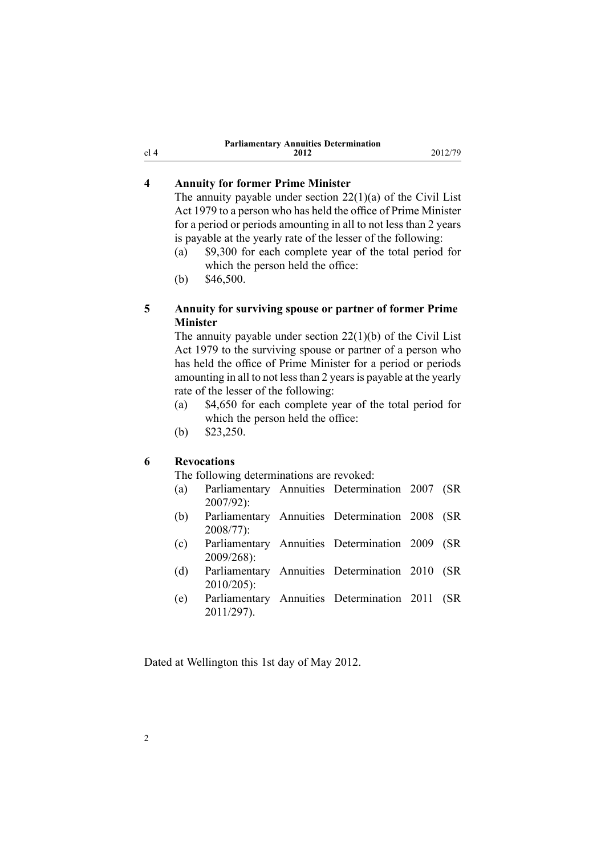| <b>Parliamentary Annuities Determination</b> |      |  |
|----------------------------------------------|------|--|
|                                              | 2012 |  |

#### **4 Annuity for former Prime Minister**

The annuity payable under section  $22(1)(a)$  of the Civil List Act 1979 to <sup>a</sup> person who has held the office of Prime Minister for <sup>a</sup> period or periods amounting in all to not less than 2 years is payable at the yearly rate of the lesser of the following:

**2012** 2012/79

(a) \$9,300 for each complete year of the total period for which the person held the office:

(b) \$46,500.

#### **5 Annuity for surviving spouse or partner of former Prime Minister**

The annuity payable under section [22\(1\)\(b\)](http://www.legislation.govt.nz/pdflink.aspx?id=DLM32435) of the Civil List Act 1979 to the surviving spouse or partner of <sup>a</sup> person who has held the office of Prime Minister for <sup>a</sup> period or periods amounting in all to not less than 2 years is payable at the yearly rate of the lesser of the following:

- (a) \$4,650 for each complete year of the total period for which the person held the office:
- (b) \$23,250.

#### **6 Revocations**

The following determinations are revoked:

- (a) [Parliamentary](http://www.legislation.govt.nz/pdflink.aspx?id=DLM433357) Annuities Determination 2007 (SR 2007/92):
- (b) [Parliamentary](http://www.legislation.govt.nz/pdflink.aspx?id=DLM1202203) Annuities Determination 2008 (SR 2008/77):
- (c) [Parliamentary](http://www.legislation.govt.nz/pdflink.aspx?id=DLM2371000) Annuities Determination 2009 (SR 2009/268):
- (d) [Parliamentary](http://www.legislation.govt.nz/pdflink.aspx?id=DLM3122605) Annuities Determination 2010 (SR 2010/205):
- (e) [Parliamentary](http://www.legislation.govt.nz/pdflink.aspx?id=DLM3946505) Annuities Determination 2011 (SR 2011/297).

Dated at Wellington this 1st day of May 2012.

<span id="page-1-0"></span>cl 4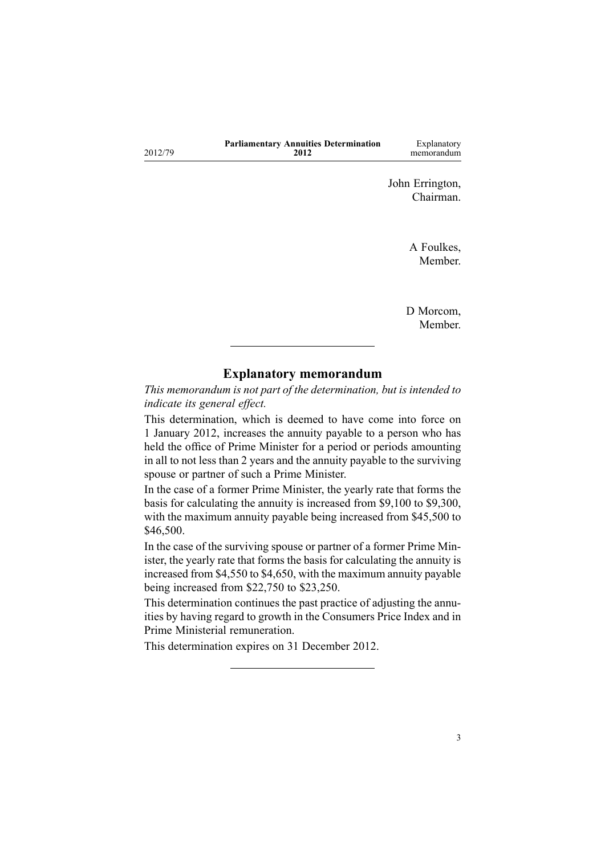|         | <b>Parliamentary Annuities Determination</b> | Explanatory |
|---------|----------------------------------------------|-------------|
| 2012/79 | 2012                                         | memorandum  |

John Errington, Chairman.

> A Foulkes, Member.

D Morcom, Member.

#### **Explanatory memorandum**

*This memorandum is not par<sup>t</sup> of the determination, but is intended to indicate its general effect.*

This determination, which is deemed to have come into force on 1 January 2012, increases the annuity payable to <sup>a</sup> person who has held the office of Prime Minister for <sup>a</sup> period or periods amounting in all to not less than 2 years and the annuity payable to the surviving spouse or partner of such <sup>a</sup> Prime Minister.

In the case of <sup>a</sup> former Prime Minister, the yearly rate that forms the basis for calculating the annuity is increased from \$9,100 to \$9,300, with the maximum annuity payable being increased from \$45,500 to \$46,500.

In the case of the surviving spouse or partner of <sup>a</sup> former Prime Minister, the yearly rate that forms the basis for calculating the annuity is increased from \$4,550 to \$4,650, with the maximum annuity payable being increased from \$22,750 to \$23,250.

This determination continues the pas<sup>t</sup> practice of adjusting the annuities by having regard to growth in the Consumers Price Index and in Prime Ministerial remuneration.

This determination expires on 31 December 2012.